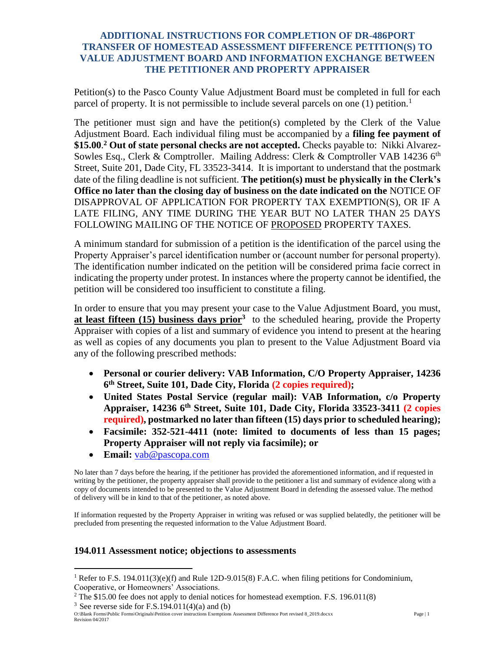## **ADDITIONAL INSTRUCTIONS FOR COMPLETION OF DR-486PORT TRANSFER OF HOMESTEAD ASSESSMENT DIFFERENCE PETITION(S) TO VALUE ADJUSTMENT BOARD AND INFORMATION EXCHANGE BETWEEN THE PETITIONER AND PROPERTY APPRAISER**

Petition(s) to the Pasco County Value Adjustment Board must be completed in full for each parcel of property. It is not permissible to include several parcels on one  $(1)$  petition.<sup>1</sup>

The petitioner must sign and have the petition(s) completed by the Clerk of the Value Adjustment Board. Each individual filing must be accompanied by a **filing fee payment of \$15.00**. **<sup>2</sup> Out of state personal checks are not accepted.** Checks payable to: Nikki Alvarez-Sowles Esq., Clerk & Comptroller. Mailing Address: Clerk & Comptroller VAB 14236 6<sup>th</sup> Street, Suite 201, Dade City, FL 33523-3414. It is important to understand that the postmark date of the filing deadline is not sufficient. **The petition(s) must be physically in the Clerk's Office no later than the closing day of business on the date indicated on the** NOTICE OF DISAPPROVAL OF APPLICATION FOR PROPERTY TAX EXEMPTION(S), OR IF A LATE FILING, ANY TIME DURING THE YEAR BUT NO LATER THAN 25 DAYS FOLLOWING MAILING OF THE NOTICE OF PROPOSED PROPERTY TAXES.

A minimum standard for submission of a petition is the identification of the parcel using the Property Appraiser's parcel identification number or (account number for personal property). The identification number indicated on the petition will be considered prima facie correct in indicating the property under protest. In instances where the property cannot be identified, the petition will be considered too insufficient to constitute a filing.

In order to ensure that you may present your case to the Value Adjustment Board, you must, **at least fifteen (15) business days prior**<sup>3</sup> to the scheduled hearing, provide the Property Appraiser with copies of a list and summary of evidence you intend to present at the hearing as well as copies of any documents you plan to present to the Value Adjustment Board via any of the following prescribed methods:

- **Personal or courier delivery: VAB Information, C/O Property Appraiser, 14236 6 th Street, Suite 101, Dade City, Florida (2 copies required);**
- **United States Postal Service (regular mail): VAB Information, c/o Property Appraiser, 14236 6th Street, Suite 101, Dade City, Florida 33523-3411 (2 copies required), postmarked no later than fifteen (15) days prior to scheduled hearing);**
- **Facsimile: 352-521-4411 (note: limited to documents of less than 15 pages; Property Appraiser will not reply via facsimile); or**
- **Email:** [vab@pascopa.com](mailto:vab@pascopa.com)

No later than 7 days before the hearing, if the petitioner has provided the aforementioned information, and if requested in writing by the petitioner, the property appraiser shall provide to the petitioner a list and summary of evidence along with a copy of documents intended to be presented to the Value Adjustment Board in defending the assessed value. The method of delivery will be in kind to that of the petitioner, as noted above.

If information requested by the Property Appraiser in writing was refused or was supplied belatedly, the petitioner will be precluded from presenting the requested information to the Value Adjustment Board.

## **194.011 Assessment notice; objections to assessments**

 $\overline{a}$ 

<sup>&</sup>lt;sup>1</sup> Refer to F.S. 194.011(3)(e)(f) and Rule 12D-9.015(8) F.A.C. when filing petitions for Condominium, Cooperative, or Homeowners' Associations.

 $2$  The \$15.00 fee does not apply to denial notices for homestead exemption. F.S. 196.011(8)

<sup>&</sup>lt;sup>3</sup> See reverse side for F.S.194.011(4)(a) and (b)

O:\Blank Forms\Public Forms\Originals\Petition cover instructions Exemptions Assessment Difference Port revised 8\_2019.docxx Page | 1 Revision 04/2017